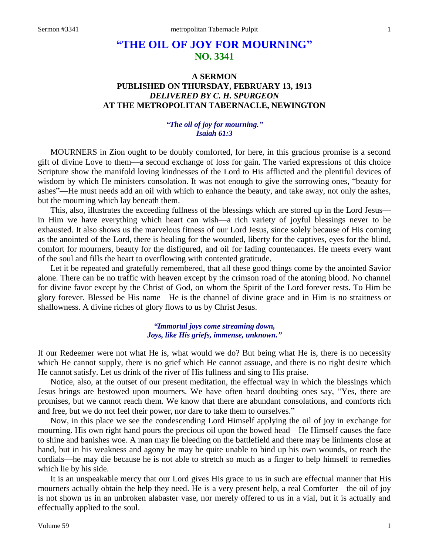# **"THE OIL OF JOY FOR MOURNING" NO. 3341**

# **A SERMON PUBLISHED ON THURSDAY, FEBRUARY 13, 1913** *DELIVERED BY C. H. SPURGEON* **AT THE METROPOLITAN TABERNACLE, NEWINGTON**

## *"The oil of joy for mourning." Isaiah 61:3*

MOURNERS in Zion ought to be doubly comforted, for here, in this gracious promise is a second gift of divine Love to them—a second exchange of loss for gain. The varied expressions of this choice Scripture show the manifold loving kindnesses of the Lord to His afflicted and the plentiful devices of wisdom by which He ministers consolation. It was not enough to give the sorrowing ones, "beauty for ashes"—He must needs add an oil with which to enhance the beauty, and take away, not only the ashes, but the mourning which lay beneath them.

This, also, illustrates the exceeding fullness of the blessings which are stored up in the Lord Jesus in Him we have everything which heart can wish—a rich variety of joyful blessings never to be exhausted. It also shows us the marvelous fitness of our Lord Jesus, since solely because of His coming as the anointed of the Lord, there is healing for the wounded, liberty for the captives, eyes for the blind, comfort for mourners, beauty for the disfigured, and oil for fading countenances. He meets every want of the soul and fills the heart to overflowing with contented gratitude.

Let it be repeated and gratefully remembered, that all these good things come by the anointed Savior alone. There can be no traffic with heaven except by the crimson road of the atoning blood. No channel for divine favor except by the Christ of God, on whom the Spirit of the Lord forever rests. To Him be glory forever. Blessed be His name—He is the channel of divine grace and in Him is no straitness or shallowness. A divine riches of glory flows to us by Christ Jesus.

#### *"Immortal joys come streaming down, Joys, like His griefs, immense, unknown."*

If our Redeemer were not what He is, what would we do? But being what He is, there is no necessity which He cannot supply, there is no grief which He cannot assuage, and there is no right desire which He cannot satisfy. Let us drink of the river of His fullness and sing to His praise.

Notice, also, at the outset of our present meditation, the effectual way in which the blessings which Jesus brings are bestowed upon mourners. We have often heard doubting ones say, "Yes, there are promises, but we cannot reach them. We know that there are abundant consolations, and comforts rich and free, but we do not feel their power, nor dare to take them to ourselves."

Now, in this place we see the condescending Lord Himself applying the oil of joy in exchange for mourning. His own right hand pours the precious oil upon the bowed head—He Himself causes the face to shine and banishes woe. A man may lie bleeding on the battlefield and there may be liniments close at hand, but in his weakness and agony he may be quite unable to bind up his own wounds, or reach the cordials—he may die because he is not able to stretch so much as a finger to help himself to remedies which lie by his side.

It is an unspeakable mercy that our Lord gives His grace to us in such are effectual manner that His mourners actually obtain the help they need. He is a very present help, a real Comforter—the oil of joy is not shown us in an unbroken alabaster vase, nor merely offered to us in a vial, but it is actually and effectually applied to the soul.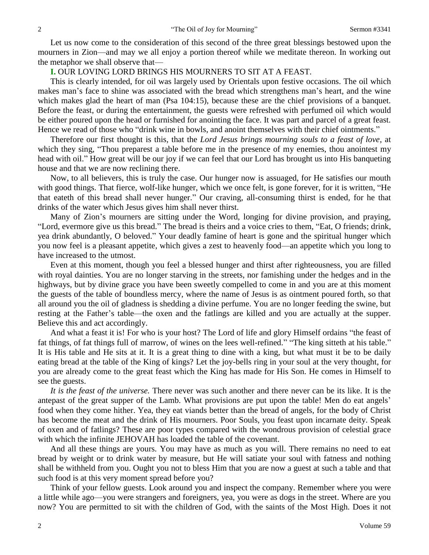Let us now come to the consideration of this second of the three great blessings bestowed upon the mourners in Zion—and may we all enjoy a portion thereof while we meditate thereon. In working out the metaphor we shall observe that—

#### **I.** OUR LOVING LORD BRINGS HIS MOURNERS TO SIT AT A FEAST.

This is clearly intended, for oil was largely used by Orientals upon festive occasions. The oil which makes man's face to shine was associated with the bread which strengthens man's heart, and the wine which makes glad the heart of man (Psa 104:15), because these are the chief provisions of a banquet. Before the feast, or during the entertainment, the guests were refreshed with perfumed oil which would be either poured upon the head or furnished for anointing the face. It was part and parcel of a great feast. Hence we read of those who "drink wine in bowls, and anoint themselves with their chief ointments."

Therefore our first thought is this, that the *Lord Jesus brings mourning souls to a feast of love*, at which they sing, "Thou preparest a table before me in the presence of my enemies, thou anointest my head with oil." How great will be our joy if we can feel that our Lord has brought us into His banqueting house and that we are now reclining there.

Now, to all believers, this is truly the case. Our hunger now is assuaged, for He satisfies our mouth with good things. That fierce, wolf-like hunger, which we once felt, is gone forever, for it is written, "He that eateth of this bread shall never hunger." Our craving, all-consuming thirst is ended, for he that drinks of the water which Jesus gives him shall never thirst.

Many of Zion's mourners are sitting under the Word, longing for divine provision, and praying, "Lord, evermore give us this bread." The bread is theirs and a voice cries to them, "Eat, O friends; drink, yea drink abundantly, O beloved." Your deadly famine of heart is gone and the spiritual hunger which you now feel is a pleasant appetite, which gives a zest to heavenly food—an appetite which you long to have increased to the utmost.

Even at this moment, though you feel a blessed hunger and thirst after righteousness, you are filled with royal dainties. You are no longer starving in the streets, nor famishing under the hedges and in the highways, but by divine grace you have been sweetly compelled to come in and you are at this moment the guests of the table of boundless mercy, where the name of Jesus is as ointment poured forth, so that all around you the oil of gladness is shedding a divine perfume. You are no longer feeding the swine, but resting at the Father's table—the oxen and the fatlings are killed and you are actually at the supper. Believe this and act accordingly.

And what a feast it is! For who is your host? The Lord of life and glory Himself ordains "the feast of fat things, of fat things full of marrow, of wines on the lees well-refined." "The king sitteth at his table." It is His table and He sits at it. It is a great thing to dine with a king, but what must it be to be daily eating bread at the table of the King of kings? Let the joy-bells ring in your soul at the very thought, for you are already come to the great feast which the King has made for His Son. He comes in Himself to see the guests.

*It is the feast of the universe.* There never was such another and there never can be its like. It is the antepast of the great supper of the Lamb. What provisions are put upon the table! Men do eat angels' food when they come hither. Yea, they eat viands better than the bread of angels, for the body of Christ has become the meat and the drink of His mourners. Poor Souls, you feast upon incarnate deity. Speak of oxen and of fatlings? These are poor types compared with the wondrous provision of celestial grace with which the infinite JEHOVAH has loaded the table of the covenant.

And all these things are yours. You may have as much as you will. There remains no need to eat bread by weight or to drink water by measure, but He will satiate your soul with fatness and nothing shall be withheld from you. Ought you not to bless Him that you are now a guest at such a table and that such food is at this very moment spread before you?

Think of your fellow guests. Look around you and inspect the company. Remember where you were a little while ago—you were strangers and foreigners, yea, you were as dogs in the street. Where are you now? You are permitted to sit with the children of God, with the saints of the Most High. Does it not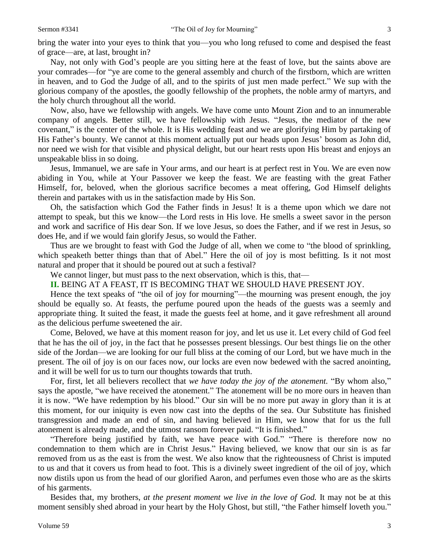bring the water into your eyes to think that you—you who long refused to come and despised the feast of grace—are, at last, brought in?

Nay, not only with God's people are you sitting here at the feast of love, but the saints above are your comrades—for "ye are come to the general assembly and church of the firstborn, which are written in heaven, and to God the Judge of all, and to the spirits of just men made perfect." We sup with the glorious company of the apostles, the goodly fellowship of the prophets, the noble army of martyrs, and the holy church throughout all the world.

Now, also, have we fellowship with angels. We have come unto Mount Zion and to an innumerable company of angels. Better still, we have fellowship with Jesus. "Jesus, the mediator of the new covenant," is the center of the whole. It is His wedding feast and we are glorifying Him by partaking of His Father's bounty. We cannot at this moment actually put our heads upon Jesus' bosom as John did, nor need we wish for that visible and physical delight, but our heart rests upon His breast and enjoys an unspeakable bliss in so doing.

Jesus, Immanuel, we are safe in Your arms, and our heart is at perfect rest in You. We are even now abiding in You, while at Your Passover we keep the feast. We are feasting with the great Father Himself, for, beloved, when the glorious sacrifice becomes a meat offering, God Himself delights therein and partakes with us in the satisfaction made by His Son.

Oh, the satisfaction which God the Father finds in Jesus! It is a theme upon which we dare not attempt to speak, but this we know—the Lord rests in His love. He smells a sweet savor in the person and work and sacrifice of His dear Son. If we love Jesus, so does the Father, and if we rest in Jesus, so does He, and if we would fain glorify Jesus, so would the Father.

Thus are we brought to feast with God the Judge of all, when we come to "the blood of sprinkling, which speaketh better things than that of Abel." Here the oil of joy is most befitting. Is it not most natural and proper that it should be poured out at such a festival?

We cannot linger, but must pass to the next observation, which is this, that—

**II.** BEING AT A FEAST, IT IS BECOMING THAT WE SHOULD HAVE PRESENT JOY.

Hence the text speaks of "the oil of joy for mourning"—the mourning was present enough, the joy should be equally so. At feasts, the perfume poured upon the heads of the guests was a seemly and appropriate thing. It suited the feast, it made the guests feel at home, and it gave refreshment all around as the delicious perfume sweetened the air.

Come, Beloved, we have at this moment reason for joy, and let us use it. Let every child of God feel that he has the oil of joy, in the fact that he possesses present blessings. Our best things lie on the other side of the Jordan—we are looking for our full bliss at the coming of our Lord, but we have much in the present. The oil of joy is on our faces now, our locks are even now bedewed with the sacred anointing, and it will be well for us to turn our thoughts towards that truth.

For, first, let all believers recollect that *we have today the joy of the atonement.* "By whom also," says the apostle, "we have received the atonement." The atonement will be no more ours in heaven than it is now. "We have redemption by his blood." Our sin will be no more put away in glory than it is at this moment, for our iniquity is even now cast into the depths of the sea. Our Substitute has finished transgression and made an end of sin, and having believed in Him, we know that for us the full atonement is already made, and the utmost ransom forever paid. "It is finished."

"Therefore being justified by faith, we have peace with God." "There is therefore now no condemnation to them which are in Christ Jesus." Having believed, we know that our sin is as far removed from us as the east is from the west. We also know that the righteousness of Christ is imputed to us and that it covers us from head to foot. This is a divinely sweet ingredient of the oil of joy, which now distils upon us from the head of our glorified Aaron, and perfumes even those who are as the skirts of his garments.

Besides that, my brothers, *at the present moment we live in the love of God.* It may not be at this moment sensibly shed abroad in your heart by the Holy Ghost, but still, "the Father himself loveth you."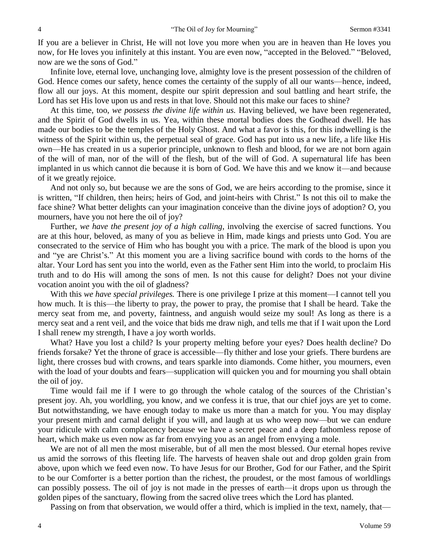If you are a believer in Christ, He will not love you more when you are in heaven than He loves you now, for He loves you infinitely at this instant. You are even now, "accepted in the Beloved." "Beloved, now are we the sons of God."

Infinite love, eternal love, unchanging love, almighty love is the present possession of the children of God. Hence comes our safety, hence comes the certainty of the supply of all our wants—hence, indeed, flow all our joys. At this moment, despite our spirit depression and soul battling and heart strife, the Lord has set His love upon us and rests in that love. Should not this make our faces to shine?

At this time, too, *we possess the divine life within us.* Having believed, we have been regenerated, and the Spirit of God dwells in us. Yea, within these mortal bodies does the Godhead dwell. He has made our bodies to be the temples of the Holy Ghost. And what a favor is this, for this indwelling is the witness of the Spirit within us, the perpetual seal of grace. God has put into us a new life, a life like His own—He has created in us a superior principle, unknown to flesh and blood, for we are not born again of the will of man, nor of the will of the flesh, but of the will of God. A supernatural life has been implanted in us which cannot die because it is born of God. We have this and we know it—and because of it we greatly rejoice.

And not only so, but because we are the sons of God, we are heirs according to the promise, since it is written, "If children, then heirs; heirs of God, and joint-heirs with Christ." Is not this oil to make the face shine? What better delights can your imagination conceive than the divine joys of adoption? O, you mourners, have you not here the oil of joy?

Further, *we have the present joy of a high calling*, involving the exercise of sacred functions. You are at this hour, beloved, as many of you as believe in Him, made kings and priests unto God. You are consecrated to the service of Him who has bought you with a price. The mark of the blood is upon you and "ye are Christ's." At this moment you are a living sacrifice bound with cords to the horns of the altar. Your Lord has sent you into the world, even as the Father sent Him into the world, to proclaim His truth and to do His will among the sons of men. Is not this cause for delight? Does not your divine vocation anoint you with the oil of gladness?

With this *we have special privileges.* There is one privilege I prize at this moment—I cannot tell you how much. It is this—the liberty to pray, the power to pray, the promise that I shall be heard. Take the mercy seat from me, and poverty, faintness, and anguish would seize my soul! As long as there is a mercy seat and a rent veil, and the voice that bids me draw nigh, and tells me that if I wait upon the Lord I shall renew my strength, I have a joy worth worlds.

What? Have you lost a child? Is your property melting before your eyes? Does health decline? Do friends forsake? Yet the throne of grace is accessible—fly thither and lose your griefs. There burdens are light, there crosses bud with crowns, and tears sparkle into diamonds. Come hither, you mourners, even with the load of your doubts and fears—supplication will quicken you and for mourning you shall obtain the oil of joy.

Time would fail me if I were to go through the whole catalog of the sources of the Christian's present joy. Ah, you worldling, you know, and we confess it is true, that our chief joys are yet to come. But notwithstanding, we have enough today to make us more than a match for you. You may display your present mirth and carnal delight if you will, and laugh at us who weep now—but we can endure your ridicule with calm complacency because we have a secret peace and a deep fathomless repose of heart, which make us even now as far from envying you as an angel from envying a mole.

We are not of all men the most miserable, but of all men the most blessed. Our eternal hopes revive us amid the sorrows of this fleeting life. The harvests of heaven shale out and drop golden grain from above, upon which we feed even now. To have Jesus for our Brother, God for our Father, and the Spirit to be our Comforter is a better portion than the richest, the proudest, or the most famous of worldlings can possibly possess. The oil of joy is not made in the presses of earth—it drops upon us through the golden pipes of the sanctuary, flowing from the sacred olive trees which the Lord has planted.

Passing on from that observation, we would offer a third, which is implied in the text, namely, that—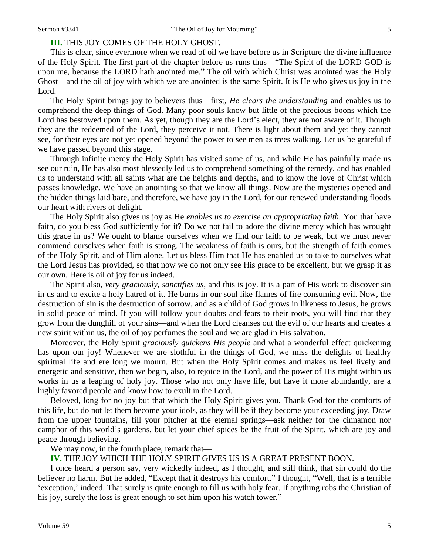## **III.** THIS JOY COMES OF THE HOLY GHOST.

This is clear, since evermore when we read of oil we have before us in Scripture the divine influence of the Holy Spirit. The first part of the chapter before us runs thus—"The Spirit of the LORD GOD is upon me, because the LORD hath anointed me." The oil with which Christ was anointed was the Holy Ghost—and the oil of joy with which we are anointed is the same Spirit. It is He who gives us joy in the Lord.

The Holy Spirit brings joy to believers thus—first, *He clears the understanding* and enables us to comprehend the deep things of God. Many poor souls know but little of the precious boons which the Lord has bestowed upon them. As yet, though they are the Lord's elect, they are not aware of it. Though they are the redeemed of the Lord, they perceive it not. There is light about them and yet they cannot see, for their eyes are not yet opened beyond the power to see men as trees walking. Let us be grateful if we have passed beyond this stage.

Through infinite mercy the Holy Spirit has visited some of us, and while He has painfully made us see our ruin, He has also most blessedly led us to comprehend something of the remedy, and has enabled us to understand with all saints what are the heights and depths, and to know the love of Christ which passes knowledge. We have an anointing so that we know all things. Now are the mysteries opened and the hidden things laid bare, and therefore, we have joy in the Lord, for our renewed understanding floods our heart with rivers of delight.

The Holy Spirit also gives us joy as He *enables us to exercise an appropriating faith.* You that have faith, do you bless God sufficiently for it? Do we not fail to adore the divine mercy which has wrought this grace in us? We ought to blame ourselves when we find our faith to be weak, but we must never commend ourselves when faith is strong. The weakness of faith is ours, but the strength of faith comes of the Holy Spirit, and of Him alone. Let us bless Him that He has enabled us to take to ourselves what the Lord Jesus has provided, so that now we do not only see His grace to be excellent, but we grasp it as our own. Here is oil of joy for us indeed.

The Spirit also, *very graciously, sanctifies us*, and this is joy. It is a part of His work to discover sin in us and to excite a holy hatred of it. He burns in our soul like flames of fire consuming evil. Now, the destruction of sin is the destruction of sorrow, and as a child of God grows in likeness to Jesus, he grows in solid peace of mind. If you will follow your doubts and fears to their roots, you will find that they grow from the dunghill of your sins—and when the Lord cleanses out the evil of our hearts and creates a new spirit within us, the oil of joy perfumes the soul and we are glad in His salvation.

Moreover, the Holy Spirit *graciously quickens His people* and what a wonderful effect quickening has upon our joy! Whenever we are slothful in the things of God, we miss the delights of healthy spiritual life and ere long we mourn. But when the Holy Spirit comes and makes us feel lively and energetic and sensitive, then we begin, also, to rejoice in the Lord, and the power of His might within us works in us a leaping of holy joy. Those who not only have life, but have it more abundantly, are a highly favored people and know how to exult in the Lord.

Beloved, long for no joy but that which the Holy Spirit gives you. Thank God for the comforts of this life, but do not let them become your idols, as they will be if they become your exceeding joy. Draw from the upper fountains, fill your pitcher at the eternal springs—ask neither for the cinnamon nor camphor of this world's gardens, but let your chief spices be the fruit of the Spirit, which are joy and peace through believing.

We may now, in the fourth place, remark that—

**IV.** THE JOY WHICH THE HOLY SPIRIT GIVES US IS A GREAT PRESENT BOON.

I once heard a person say, very wickedly indeed, as I thought, and still think, that sin could do the believer no harm. But he added, "Except that it destroys his comfort." I thought, "Well, that is a terrible 'exception,' indeed. That surely is quite enough to fill us with holy fear. If anything robs the Christian of his joy, surely the loss is great enough to set him upon his watch tower."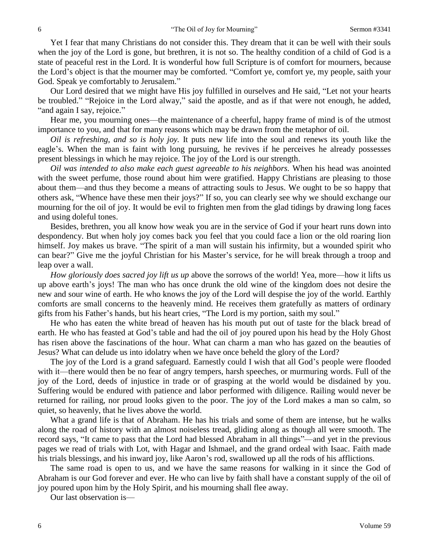Yet I fear that many Christians do not consider this. They dream that it can be well with their souls when the joy of the Lord is gone, but brethren, it is not so. The healthy condition of a child of God is a state of peaceful rest in the Lord. It is wonderful how full Scripture is of comfort for mourners, because the Lord's object is that the mourner may be comforted. "Comfort ye, comfort ye, my people, saith your God. Speak ye comfortably to Jerusalem."

Our Lord desired that we might have His joy fulfilled in ourselves and He said, "Let not your hearts be troubled." "Rejoice in the Lord alway," said the apostle, and as if that were not enough, he added, "and again I say, rejoice."

Hear me, you mourning ones—the maintenance of a cheerful, happy frame of mind is of the utmost importance to you, and that for many reasons which may be drawn from the metaphor of oil.

*Oil is refreshing, and so is holy joy.* It puts new life into the soul and renews its youth like the eagle's. When the man is faint with long pursuing, he revives if he perceives he already possesses present blessings in which he may rejoice. The joy of the Lord is our strength.

*Oil was intended to also make each guest agreeable to his neighbors.* When his head was anointed with the sweet perfume, those round about him were gratified. Happy Christians are pleasing to those about them—and thus they become a means of attracting souls to Jesus. We ought to be so happy that others ask, "Whence have these men their joys?" If so, you can clearly see why we should exchange our mourning for the oil of joy. It would be evil to frighten men from the glad tidings by drawing long faces and using doleful tones.

Besides, brethren, you all know how weak you are in the service of God if your heart runs down into despondency. But when holy joy comes back you feel that you could face a lion or the old roaring lion himself. Joy makes us brave. "The spirit of a man will sustain his infirmity, but a wounded spirit who can bear?" Give me the joyful Christian for his Master's service, for he will break through a troop and leap over a wall.

*How gloriously does sacred joy lift us up* above the sorrows of the world! Yea, more—how it lifts us up above earth's joys! The man who has once drunk the old wine of the kingdom does not desire the new and sour wine of earth. He who knows the joy of the Lord will despise the joy of the world. Earthly comforts are small concerns to the heavenly mind. He receives them gratefully as matters of ordinary gifts from his Father's hands, but his heart cries, "The Lord is my portion, saith my soul."

He who has eaten the white bread of heaven has his mouth put out of taste for the black bread of earth. He who has feasted at God's table and had the oil of joy poured upon his head by the Holy Ghost has risen above the fascinations of the hour. What can charm a man who has gazed on the beauties of Jesus? What can delude us into idolatry when we have once beheld the glory of the Lord?

The joy of the Lord is a grand safeguard. Earnestly could I wish that all God's people were flooded with it—there would then be no fear of angry tempers, harsh speeches, or murmuring words. Full of the joy of the Lord, deeds of injustice in trade or of grasping at the world would be disdained by you. Suffering would be endured with patience and labor performed with diligence. Railing would never be returned for railing, nor proud looks given to the poor. The joy of the Lord makes a man so calm, so quiet, so heavenly, that he lives above the world.

What a grand life is that of Abraham. He has his trials and some of them are intense, but he walks along the road of history with an almost noiseless tread, gliding along as though all were smooth. The record says, "It came to pass that the Lord had blessed Abraham in all things"—and yet in the previous pages we read of trials with Lot, with Hagar and Ishmael, and the grand ordeal with Isaac. Faith made his trials blessings, and his inward joy, like Aaron's rod, swallowed up all the rods of his afflictions.

The same road is open to us, and we have the same reasons for walking in it since the God of Abraham is our God forever and ever. He who can live by faith shall have a constant supply of the oil of joy poured upon him by the Holy Spirit, and his mourning shall flee away.

Our last observation is—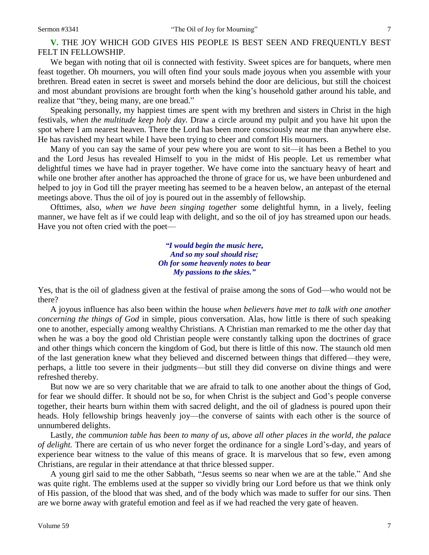**V.** THE JOY WHICH GOD GIVES HIS PEOPLE IS BEST SEEN AND FREQUENTLY BEST FELT IN FELLOWSHIP.

We began with noting that oil is connected with festivity. Sweet spices are for banquets, where men feast together. Oh mourners, you will often find your souls made joyous when you assemble with your brethren. Bread eaten in secret is sweet and morsels behind the door are delicious, but still the choicest and most abundant provisions are brought forth when the king's household gather around his table, and realize that "they, being many, are one bread."

Speaking personally, my happiest times are spent with my brethren and sisters in Christ in the high festivals, *when the multitude keep holy day.* Draw a circle around my pulpit and you have hit upon the spot where I am nearest heaven. There the Lord has been more consciously near me than anywhere else. He has ravished my heart while I have been trying to cheer and comfort His mourners.

Many of you can say the same of your pew where you are wont to sit—it has been a Bethel to you and the Lord Jesus has revealed Himself to you in the midst of His people. Let us remember what delightful times we have had in prayer together. We have come into the sanctuary heavy of heart and while one brother after another has approached the throne of grace for us, we have been unburdened and helped to joy in God till the prayer meeting has seemed to be a heaven below, an antepast of the eternal meetings above. Thus the oil of joy is poured out in the assembly of fellowship.

Ofttimes, also, *when we have been singing together* some delightful hymn, in a lively, feeling manner, we have felt as if we could leap with delight, and so the oil of joy has streamed upon our heads. Have you not often cried with the poet—

> *"I would begin the music here, And so my soul should rise; Oh for some heavenly notes to bear My passions to the skies."*

Yes, that is the oil of gladness given at the festival of praise among the sons of God—who would not be there?

A joyous influence has also been within the house *when believers have met to talk with one another concerning the things of God* in simple, pious conversation. Alas, how little is there of such speaking one to another, especially among wealthy Christians. A Christian man remarked to me the other day that when he was a boy the good old Christian people were constantly talking upon the doctrines of grace and other things which concern the kingdom of God, but there is little of this now. The staunch old men of the last generation knew what they believed and discerned between things that differed—they were, perhaps, a little too severe in their judgments—but still they did converse on divine things and were refreshed thereby.

But now we are so very charitable that we are afraid to talk to one another about the things of God, for fear we should differ. It should not be so, for when Christ is the subject and God's people converse together, their hearts burn within them with sacred delight, and the oil of gladness is poured upon their heads. Holy fellowship brings heavenly joy—the converse of saints with each other is the source of unnumbered delights.

Lastly, *the communion table has been to many of us, above all other places in the world, the palace of delight.* There are certain of us who never forget the ordinance for a single Lord's-day, and years of experience bear witness to the value of this means of grace. It is marvelous that so few, even among Christians, are regular in their attendance at that thrice blessed supper.

A young girl said to me the other Sabbath, "Jesus seems so near when we are at the table." And she was quite right. The emblems used at the supper so vividly bring our Lord before us that we think only of His passion, of the blood that was shed, and of the body which was made to suffer for our sins. Then are we borne away with grateful emotion and feel as if we had reached the very gate of heaven.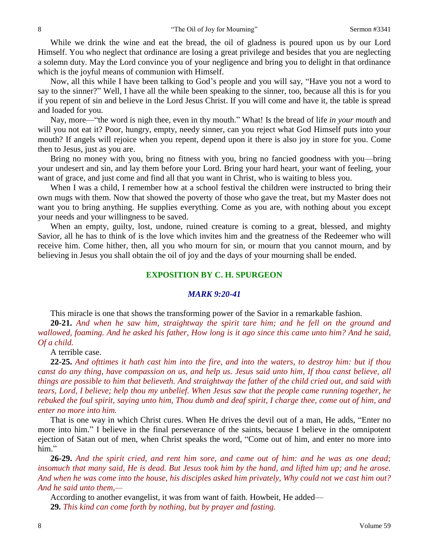While we drink the wine and eat the bread, the oil of gladness is poured upon us by our Lord Himself. You who neglect that ordinance are losing a great privilege and besides that you are neglecting a solemn duty. May the Lord convince you of your negligence and bring you to delight in that ordinance which is the joyful means of communion with Himself.

Now, all this while I have been talking to God's people and you will say, "Have you not a word to say to the sinner?" Well, I have all the while been speaking to the sinner, too, because all this is for you if you repent of sin and believe in the Lord Jesus Christ. If you will come and have it, the table is spread and loaded for you.

Nay, more—"the word is nigh thee, even in thy mouth." What! Is the bread of life *in your mouth* and will you not eat it? Poor, hungry, empty, needy sinner, can you reject what God Himself puts into your mouth? If angels will rejoice when you repent, depend upon it there is also joy in store for you. Come then to Jesus, just as you are.

Bring no money with you, bring no fitness with you, bring no fancied goodness with you—bring your undesert and sin, and lay them before your Lord. Bring your hard heart, your want of feeling, your want of grace, and just come and find all that you want in Christ, who is waiting to bless you.

When I was a child, I remember how at a school festival the children were instructed to bring their own mugs with them. Now that showed the poverty of those who gave the treat, but my Master does not want you to bring anything. He supplies everything. Come as you are, with nothing about you except your needs and your willingness to be saved.

When an empty, guilty, lost, undone, ruined creature is coming to a great, blessed, and mighty Savior, all he has to think of is the love which invites him and the greatness of the Redeemer who will receive him. Come hither, then, all you who mourn for sin, or mourn that you cannot mourn, and by believing in Jesus you shall obtain the oil of joy and the days of your mourning shall be ended.

# **EXPOSITION BY C. H. SPURGEON**

# *MARK 9:20-41*

This miracle is one that shows the transforming power of the Savior in a remarkable fashion.

**20-21.** *And when he saw him, straightway the spirit tare him; and he fell on the ground and wallowed, foaming. And he asked his father, How long is it ago since this came unto him? And he said, Of a child.*

A terrible case.

**22-25.** *And ofttimes it hath cast him into the fire, and into the waters, to destroy him: but if thou canst do any thing, have compassion on us, and help us. Jesus said unto him, If thou canst believe, all things are possible to him that believeth. And straightway the father of the child cried out, and said with tears, Lord, I believe; help thou my unbelief. When Jesus saw that the people came running together, he rebuked the foul spirit, saying unto him, Thou dumb and deaf spirit, I charge thee, come out of him, and enter no more into him.*

That is one way in which Christ cures. When He drives the devil out of a man, He adds, "Enter no more into him." I believe in the final perseverance of the saints, because I believe in the omnipotent ejection of Satan out of men, when Christ speaks the word, "Come out of him, and enter no more into him."

**26-29.** *And the spirit cried, and rent him sore, and came out of him: and he was as one dead; insomuch that many said, He is dead. But Jesus took him by the hand, and lifted him up; and he arose. And when he was come into the house, his disciples asked him privately, Why could not we cast him out? And he said unto them,—*

According to another evangelist, it was from want of faith. Howbeit, He added— **29.** *This kind can come forth by nothing, but by prayer and fasting.*